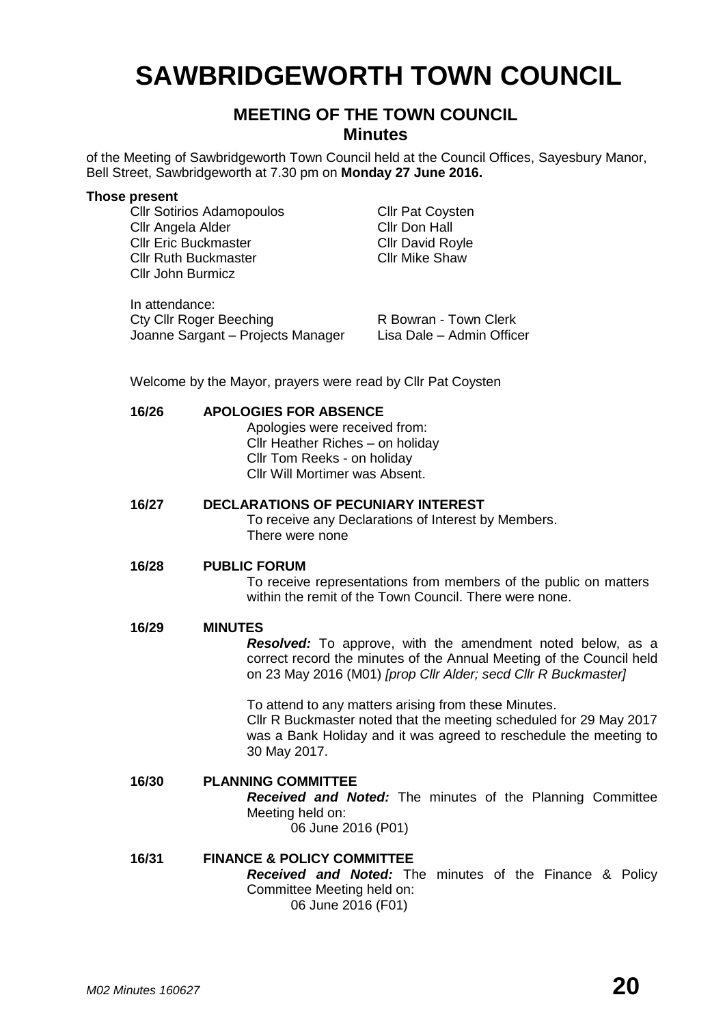# **SAWBRIDGEWORTH TOWN COUNCIL**

# **MEETING OF THE TOWN COUNCIL Minutes**

of the Meeting of Sawbridgeworth Town Council held at the Council Offices, Sayesbury Manor, Bell Street, Sawbridgeworth at 7.30 pm on **Monday 27 June 2016.**

#### **Those present**

Cllr Sotirios Adamopoulos Cllr Pat Coysten Cllr Angela Alder Cllr Don Hall Cllr Eric Buckmaster Cllr David Royle Cllr Ruth Buckmaster Cllr Mike Shaw Cllr John Burmicz

In attendance: Cty Cllr Roger Beeching **R Bowran - Town Clerk** Joanne Sargant – Projects Manager Lisa Dale – Admin Officer

Welcome by the Mayor, prayers were read by Cllr Pat Coysten

# **16/26 APOLOGIES FOR ABSENCE** Apologies were received from: Cllr Heather Riches – on holiday Cllr Tom Reeks - on holiday Cllr Will Mortimer was Absent. **16/27 DECLARATIONS OF PECUNIARY INTEREST** To receive any Declarations of Interest by Members. There were none **16/28 PUBLIC FORUM** To receive representations from members of the public on matters within the remit of the Town Council. There were none. **16/29 MINUTES** *Resolved:* To approve, with the amendment noted below, as a correct record the minutes of the Annual Meeting of the Council held on 23 May 2016 (M01) *[prop Cllr Alder; secd Cllr R Buckmaster]* To attend to any matters arising from these Minutes. Cllr R Buckmaster noted that the meeting scheduled for 29 May 2017 was a Bank Holiday and it was agreed to reschedule the meeting to 30 May 2017. **16/30 PLANNING COMMITTEE** *Received and Noted:* The minutes of the Planning Committee Meeting held on: 06 June 2016 (P01) **16/31 FINANCE & POLICY COMMITTEE** *Received and Noted:* The minutes of the Finance & Policy Committee Meeting held on: 06 June 2016 (F01)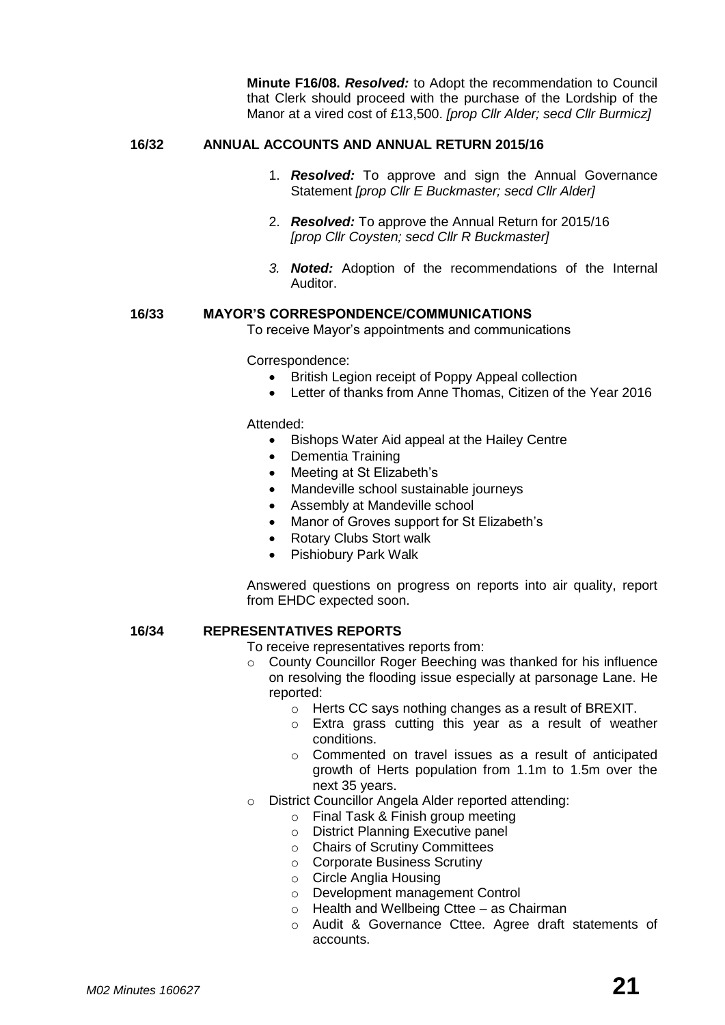**Minute F16/08.** *Resolved:* to Adopt the recommendation to Council that Clerk should proceed with the purchase of the Lordship of the Manor at a vired cost of £13,500. *[prop Cllr Alder; secd Cllr Burmicz]*

#### **16/32 ANNUAL ACCOUNTS AND ANNUAL RETURN 2015/16**

- 1. *Resolved:* To approve and sign the Annual Governance Statement *[prop Cllr E Buckmaster; secd Cllr Alder]*
- 2. *Resolved:* To approve the Annual Return for 2015/16 *[prop Cllr Coysten; secd Cllr R Buckmaster]*
- *3. Noted:* Adoption of the recommendations of the Internal Auditor.

#### **16/33 MAYOR'S CORRESPONDENCE/COMMUNICATIONS**

To receive Mayor's appointments and communications

Correspondence:

- British Legion receipt of Poppy Appeal collection
- Letter of thanks from Anne Thomas, Citizen of the Year 2016

Attended:

- Bishops Water Aid appeal at the Hailey Centre
- Dementia Training
- Meeting at St Elizabeth's
- Mandeville school sustainable journeys
- Assembly at Mandeville school
- Manor of Groves support for St Elizabeth's
- Rotary Clubs Stort walk
- Pishiobury Park Walk

Answered questions on progress on reports into air quality, report from EHDC expected soon.

#### **16/34 REPRESENTATIVES REPORTS**

To receive representatives reports from:

- o County Councillor Roger Beeching was thanked for his influence on resolving the flooding issue especially at parsonage Lane. He reported:
	- o Herts CC says nothing changes as a result of BREXIT.
	- o Extra grass cutting this year as a result of weather conditions.
	- o Commented on travel issues as a result of anticipated growth of Herts population from 1.1m to 1.5m over the next 35 years.
- o District Councillor Angela Alder reported attending:
	- o Final Task & Finish group meeting
	- o District Planning Executive panel
	- o Chairs of Scrutiny Committees
	- o Corporate Business Scrutiny
	- o Circle Anglia Housing
	- o Development management Control
	- o Health and Wellbeing Cttee as Chairman
	- o Audit & Governance Cttee. Agree draft statements of accounts.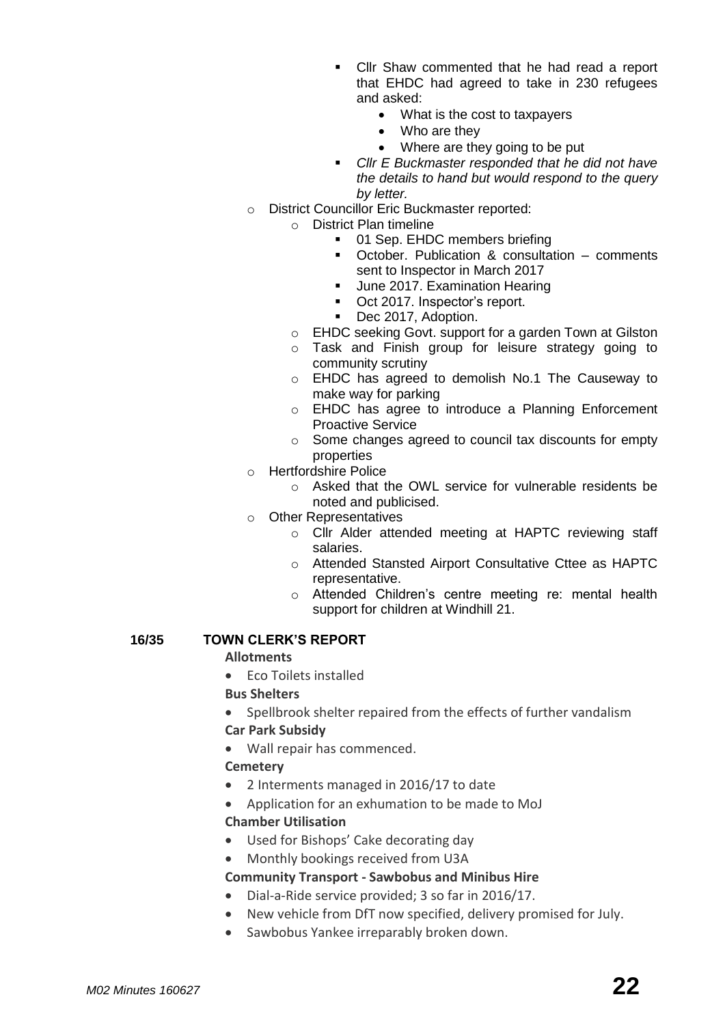- Cllr Shaw commented that he had read a report that EHDC had agreed to take in 230 refugees and asked:
	- What is the cost to taxpayers
	- Who are they
	- Where are they going to be put
- *Cllr E Buckmaster responded that he did not have the details to hand but would respond to the query by letter.*
- o District Councillor Eric Buckmaster reported:
	- o District Plan timeline
		- 01 Sep. EHDC members briefing
		- October. Publication & consultation comments sent to Inspector in March 2017
		- June 2017. Examination Hearing
		- Oct 2017. Inspector's report.
		- Dec 2017, Adoption.
		- o EHDC seeking Govt. support for a garden Town at Gilston
		- o Task and Finish group for leisure strategy going to community scrutiny
		- o EHDC has agreed to demolish No.1 The Causeway to make way for parking
		- o EHDC has agree to introduce a Planning Enforcement Proactive Service
		- o Some changes agreed to council tax discounts for empty properties
- o Hertfordshire Police
	- o Asked that the OWL service for vulnerable residents be noted and publicised.
- o Other Representatives
	- o Cllr Alder attended meeting at HAPTC reviewing staff salaries.
	- o Attended Stansted Airport Consultative Cttee as HAPTC representative.
	- o Attended Children's centre meeting re: mental health support for children at Windhill 21.

## **16/35 TOWN CLERK'S REPORT**

#### **[Allotments](http://www.sawbridgeworth-tc.gov.uk/town-information/town-council-services/allotments)**

• Fco Toilets installed

#### **Bus Shelters**

• Spellbrook shelter repaired from the effects of further vandalism

#### **Car Park Subsidy**

Wall repair has commenced.

#### **[Cemetery](http://www.sawbridgeworth-tc.gov.uk/town-information/town-council-services/cemetery)**

- 2 Interments managed in 2016/17 to date
- Application for an exhumation to be made to MoJ **Chamber Utilisation**
- Used for Bishops' Cake decorating day
- Monthly bookings received from U3A

#### **Community Transport - [Sawbobus](http://www.sawbridgeworth-tc.gov.uk/town-information/town-council-services/sawbobus) and [Minibus Hire](http://www.sawbridgeworth-tc.gov.uk/town-information/town-council-services/minibus-hire)**

- Dial-a-Ride service provided; 3 so far in 2016/17.
- New vehicle from DfT now specified, delivery promised for July.
- Sawbobus Yankee irreparably broken down.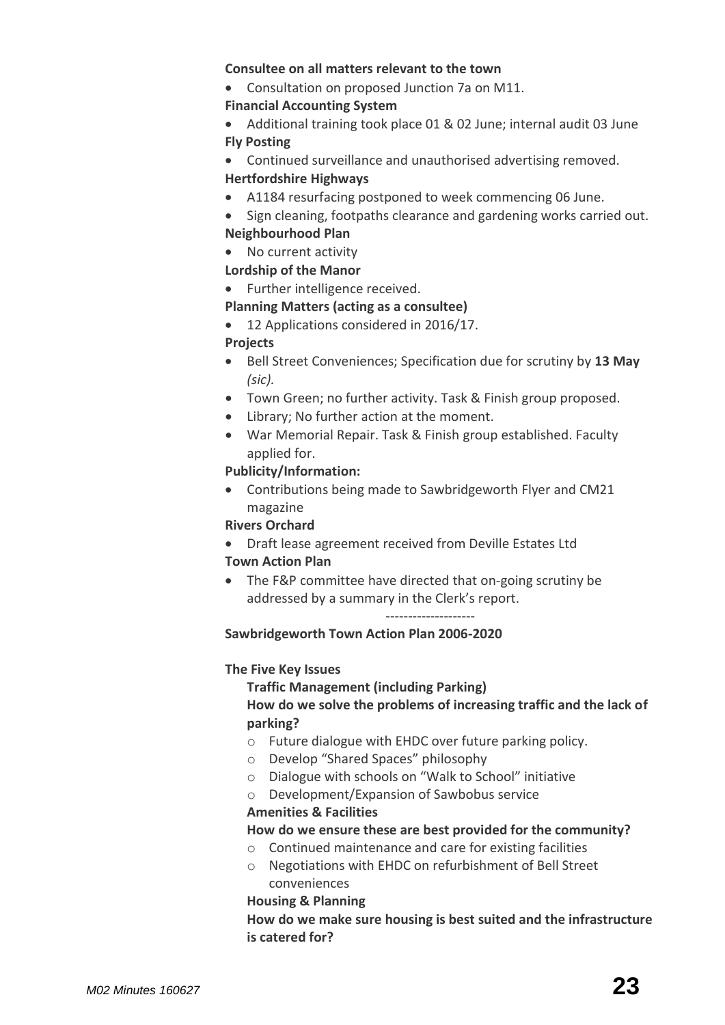#### **Consultee on all matters relevant to the town**

Consultation on proposed Junction 7a on M11.

#### **Financial Accounting System**

- Additional training took place 01 & 02 June; internal audit 03 June **Fly Posting**
- Continued surveillance and unauthorised advertising removed.

#### **Hertfordshire Highways**

- A1184 resurfacing postponed to week commencing 06 June.
- Sign cleaning, footpaths clearance and gardening works carried out. **Neighbourhood Plan**

## • No current activity

## **Lordship of the Manor**

• Further intelligence received.

## **[Planning Matters \(acting as a consultee\)](http://www.sawbridgeworth-tc.gov.uk/town-council/planning)**

• 12 Applications considered in 2016/17.

#### **Projects**

- Bell Street Conveniences; Specification due for scrutiny by **13 May**  *(sic).*
- Town Green; no further activity. Task & Finish group proposed.
- Library; No further action at the moment.
- War Memorial Repair. Task & Finish group established. Faculty applied for.

#### **Publicity/Information:**

 Contributions being made to Sawbridgeworth Flyer and CM21 magazine

#### **Rivers Orchard**

Draft lease agreement received from Deville Estates Ltd

#### **Town Action Plan**

• The F&P committee have directed that on-going scrutiny be addressed by a summary in the Clerk's report.

--------------------

#### **Sawbridgeworth Town Action Plan 2006-2020**

#### **The Five Key Issues**

**Traffic Management (including Parking)**

## **How do we solve the problems of increasing traffic and the lack of parking?**

- o Future dialogue with EHDC over future parking policy.
- o Develop "Shared Spaces" philosophy
- o Dialogue with schools on "Walk to School" initiative
- o Development/Expansion of Sawbobus service

#### **Amenities & Facilities**

#### **How do we ensure these are best provided for the community?**

- o Continued maintenance and care for existing facilities
- o Negotiations with EHDC on refurbishment of Bell Street conveniences

#### **Housing & Planning**

**How do we make sure housing is best suited and the infrastructure is catered for?**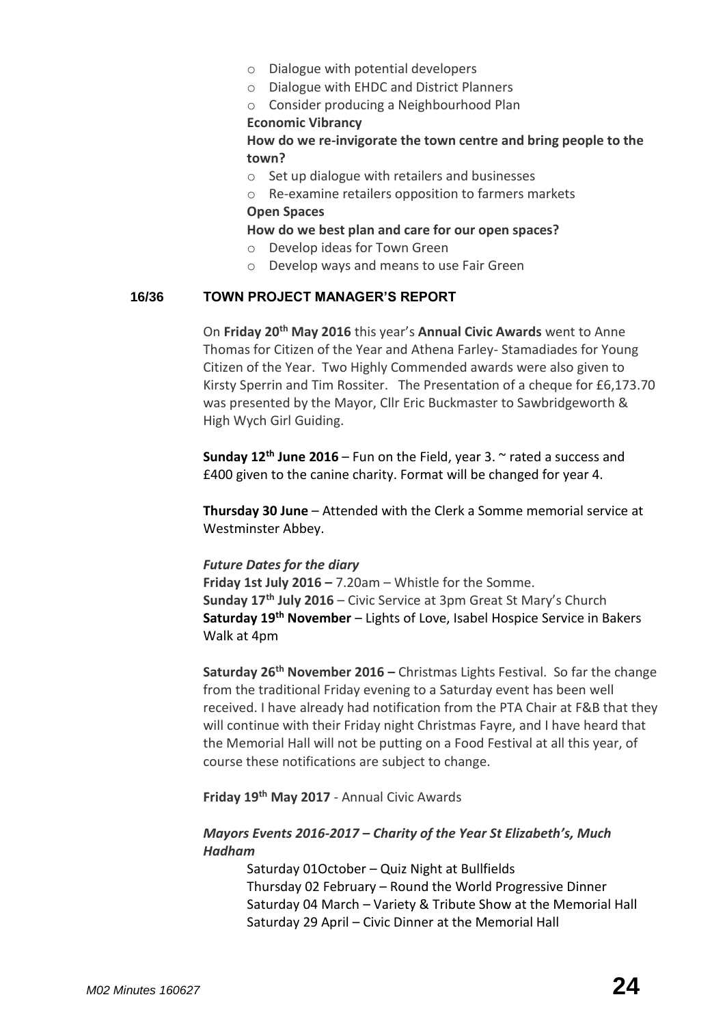- o Dialogue with potential developers
- o Dialogue with EHDC and District Planners
- o Consider producing a Neighbourhood Plan

#### **Economic Vibrancy**

**How do we re-invigorate the town centre and bring people to the town?**

- o Set up dialogue with retailers and businesses
- o Re-examine retailers opposition to farmers markets **Open Spaces**

## **How do we best plan and care for our open spaces?**

- o Develop ideas for Town Green
- o Develop ways and means to use Fair Green

#### **16/36 TOWN PROJECT MANAGER'S REPORT**

On **Friday 20th May 2016** this year's **Annual Civic Awards** went to Anne Thomas for Citizen of the Year and Athena Farley- Stamadiades for Young Citizen of the Year. Two Highly Commended awards were also given to Kirsty Sperrin and Tim Rossiter. The Presentation of a cheque for £6,173.70 was presented by the Mayor, Cllr Eric Buckmaster to Sawbridgeworth & High Wych Girl Guiding.

**Sunday 12th June 2016** – Fun on the Field, year 3. ~ rated a success and £400 given to the canine charity. Format will be changed for year 4.

**Thursday 30 June** – Attended with the Clerk a Somme memorial service at Westminster Abbey.

#### *Future Dates for the diary*

**Friday 1st July 2016 –** 7.20am – Whistle for the Somme. **Sunday 17th July 2016** – Civic Service at 3pm Great St Mary's Church **Saturday 19th November** – Lights of Love, Isabel Hospice Service in Bakers Walk at 4pm

**Saturday 26th November 2016 –** Christmas Lights Festival. So far the change from the traditional Friday evening to a Saturday event has been well received. I have already had notification from the PTA Chair at F&B that they will continue with their Friday night Christmas Fayre, and I have heard that the Memorial Hall will not be putting on a Food Festival at all this year, of course these notifications are subject to change.

**Friday 19th May 2017** - Annual Civic Awards

## *Mayors Events 2016-2017 – Charity of the Year St Elizabeth's, Much Hadham*

Saturday 01October – Quiz Night at Bullfields Thursday 02 February – Round the World Progressive Dinner Saturday 04 March – Variety & Tribute Show at the Memorial Hall Saturday 29 April – Civic Dinner at the Memorial Hall